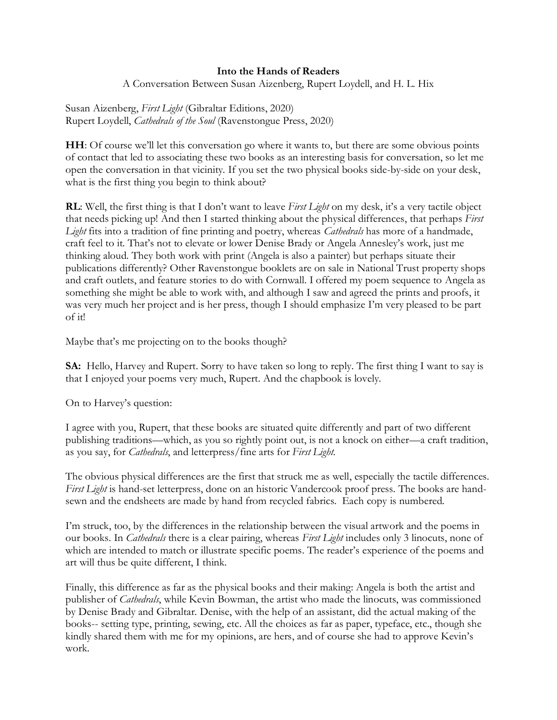## **Into the Hands of Readers**

A Conversation Between Susan Aizenberg, Rupert Loydell, and H. L. Hix

Susan Aizenberg, *First Light* (Gibraltar Editions, 2020) Rupert Loydell, *Cathedrals of the Soul* (Ravenstongue Press, 2020)

**HH**: Of course we'll let this conversation go where it wants to, but there are some obvious points of contact that led to associating these two books as an interesting basis for conversation, so let me open the conversation in that vicinity. If you set the two physical books side-by-side on your desk, what is the first thing you begin to think about?

**RL**: Well, the first thing is that I don't want to leave *First Light* on my desk, it's a very tactile object that needs picking up! And then I started thinking about the physical differences, that perhaps *First Light* fits into a tradition of fine printing and poetry, whereas *Cathedrals* has more of a handmade, craft feel to it. That's not to elevate or lower Denise Brady or Angela Annesley's work, just me thinking aloud. They both work with print (Angela is also a painter) but perhaps situate their publications differently? Other Ravenstongue booklets are on sale in National Trust property shops and craft outlets, and feature stories to do with Cornwall. I offered my poem sequence to Angela as something she might be able to work with, and although I saw and agreed the prints and proofs, it was very much her project and is her press, though I should emphasize I'm very pleased to be part of it!

Maybe that's me projecting on to the books though?

**SA:** Hello, Harvey and Rupert. Sorry to have taken so long to reply. The first thing I want to say is that I enjoyed your poems very much, Rupert. And the chapbook is lovely.

On to Harvey's question:

I agree with you, Rupert, that these books are situated quite differently and part of two different publishing traditions—which, as you so rightly point out, is not a knock on either—a craft tradition, as you say, for *Cathedrals*, and letterpress/fine arts for *First Light*.

The obvious physical differences are the first that struck me as well, especially the tactile differences. *First Light* is hand-set letterpress, done on an historic Vandercook proof press. The books are handsewn and the endsheets are made by hand from recycled fabrics. Each copy is numbered.

I'm struck, too, by the differences in the relationship between the visual artwork and the poems in our books. In *Cathedrals* there is a clear pairing, whereas *First Light* includes only 3 linocuts, none of which are intended to match or illustrate specific poems. The reader's experience of the poems and art will thus be quite different, I think.

Finally, this difference as far as the physical books and their making: Angela is both the artist and publisher of *Cathedrals*, while Kevin Bowman, the artist who made the linocuts, was commissioned by Denise Brady and Gibraltar. Denise, with the help of an assistant, did the actual making of the books-- setting type, printing, sewing, etc. All the choices as far as paper, typeface, etc., though she kindly shared them with me for my opinions, are hers, and of course she had to approve Kevin's work.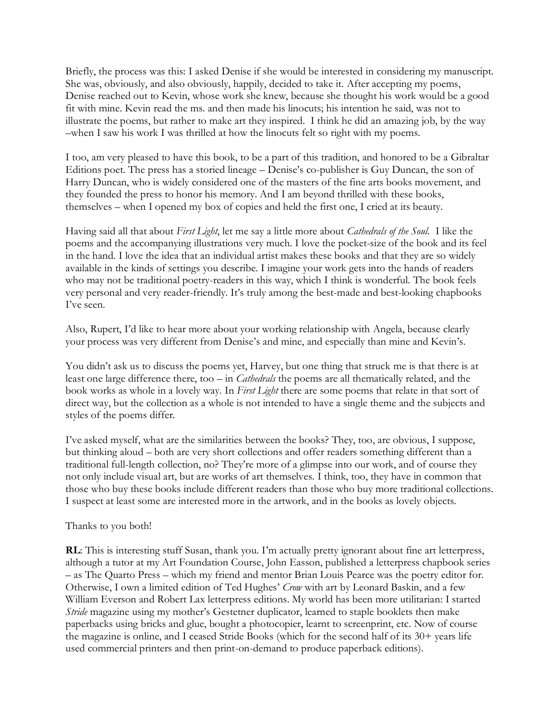Briefly, the process was this: I asked Denise if she would be interested in considering my manuscript. She was, obviously, and also obviously, happily, decided to take it. After accepting my poems, Denise reached out to Kevin, whose work she knew, because she thought his work would be a good fit with mine. Kevin read the ms. and then made his linocuts; his intention he said, was not to illustrate the poems, but rather to make art they inspired. I think he did an amazing job, by the way –when I saw his work I was thrilled at how the linocuts felt so right with my poems.

I too, am very pleased to have this book, to be a part of this tradition, and honored to be a Gibraltar Editions poet. The press has a storied lineage – Denise's co-publisher is Guy Duncan, the son of Harry Duncan, who is widely considered one of the masters of the fine arts books movement, and they founded the press to honor his memory. And I am beyond thrilled with these books, themselves – when I opened my box of copies and held the first one, I cried at its beauty.

Having said all that about *First Light*, let me say a little more about *Cathedrals of the Soul.* I like the poems and the accompanying illustrations very much. I love the pocket-size of the book and its feel in the hand. I love the idea that an individual artist makes these books and that they are so widely available in the kinds of settings you describe. I imagine your work gets into the hands of readers who may not be traditional poetry-readers in this way, which I think is wonderful. The book feels very personal and very reader-friendly. It's truly among the best-made and best-looking chapbooks I've seen.

Also, Rupert, I'd like to hear more about your working relationship with Angela, because clearly your process was very different from Denise's and mine, and especially than mine and Kevin's.

You didn't ask us to discuss the poems yet, Harvey, but one thing that struck me is that there is at least one large difference there, too – in *Cathedrals* the poems are all thematically related, and the book works as whole in a lovely way. In *First Light* there are some poems that relate in that sort of direct way, but the collection as a whole is not intended to have a single theme and the subjects and styles of the poems differ.

I've asked myself, what are the similarities between the books? They, too, are obvious, I suppose, but thinking aloud – both are very short collections and offer readers something different than a traditional full-length collection, no? They're more of a glimpse into our work, and of course they not only include visual art, but are works of art themselves. I think, too, they have in common that those who buy these books include different readers than those who buy more traditional collections. I suspect at least some are interested more in the artwork, and in the books as lovely objects.

## Thanks to you both!

**RL**: This is interesting stuff Susan, thank you. I'm actually pretty ignorant about fine art letterpress, although a tutor at my Art Foundation Course, John Easson, published a letterpress chapbook series – as The Quarto Press – which my friend and mentor Brian Louis Pearce was the poetry editor for. Otherwise, I own a limited edition of Ted Hughes' *Crow* with art by Leonard Baskin, and a few William Everson and Robert Lax letterpress editions. My world has been more utilitarian: I started *Stride* magazine using my mother's Gestetner duplicator, learned to staple booklets then make paperbacks using bricks and glue, bought a photocopier, learnt to screenprint, etc. Now of course the magazine is online, and I ceased Stride Books (which for the second half of its 30+ years life used commercial printers and then print-on-demand to produce paperback editions).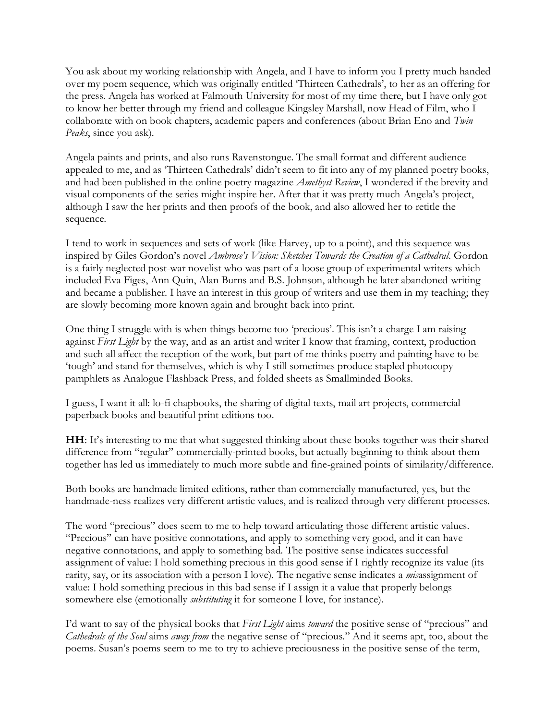You ask about my working relationship with Angela, and I have to inform you I pretty much handed over my poem sequence, which was originally entitled 'Thirteen Cathedrals', to her as an offering for the press. Angela has worked at Falmouth University for most of my time there, but I have only got to know her better through my friend and colleague Kingsley Marshall, now Head of Film, who I collaborate with on book chapters, academic papers and conferences (about Brian Eno and *Twin Peaks*, since you ask).

Angela paints and prints, and also runs Ravenstongue. The small format and different audience appealed to me, and as 'Thirteen Cathedrals' didn't seem to fit into any of my planned poetry books, and had been published in the online poetry magazine *Amethyst Review*, I wondered if the brevity and visual components of the series might inspire her. After that it was pretty much Angela's project, although I saw the her prints and then proofs of the book, and also allowed her to retitle the sequence.

I tend to work in sequences and sets of work (like Harvey, up to a point), and this sequence was inspired by Giles Gordon's novel *Ambrose's Vision: Sketches Towards the Creation of a Cathedral*. Gordon is a fairly neglected post-war novelist who was part of a loose group of experimental writers which included Eva Figes, Ann Quin, Alan Burns and B.S. Johnson, although he later abandoned writing and became a publisher. I have an interest in this group of writers and use them in my teaching; they are slowly becoming more known again and brought back into print.

One thing I struggle with is when things become too 'precious'. This isn't a charge I am raising against *First Light* by the way, and as an artist and writer I know that framing, context, production and such all affect the reception of the work, but part of me thinks poetry and painting have to be 'tough' and stand for themselves, which is why I still sometimes produce stapled photocopy pamphlets as Analogue Flashback Press, and folded sheets as Smallminded Books.

I guess, I want it all: lo-fi chapbooks, the sharing of digital texts, mail art projects, commercial paperback books and beautiful print editions too.

**HH**: It's interesting to me that what suggested thinking about these books together was their shared difference from "regular" commercially-printed books, but actually beginning to think about them together has led us immediately to much more subtle and fine-grained points of similarity/difference.

Both books are handmade limited editions, rather than commercially manufactured, yes, but the handmade-ness realizes very different artistic values, and is realized through very different processes.

The word "precious" does seem to me to help toward articulating those different artistic values. "Precious" can have positive connotations, and apply to something very good, and it can have negative connotations, and apply to something bad. The positive sense indicates successful assignment of value: I hold something precious in this good sense if I rightly recognize its value (its rarity, say, or its association with a person I love). The negative sense indicates a *mis*assignment of value: I hold something precious in this bad sense if I assign it a value that properly belongs somewhere else (emotionally *substituting* it for someone I love, for instance).

I'd want to say of the physical books that *First Light* aims *toward* the positive sense of "precious" and *Cathedrals of the Soul* aims *away from* the negative sense of "precious." And it seems apt, too, about the poems. Susan's poems seem to me to try to achieve preciousness in the positive sense of the term,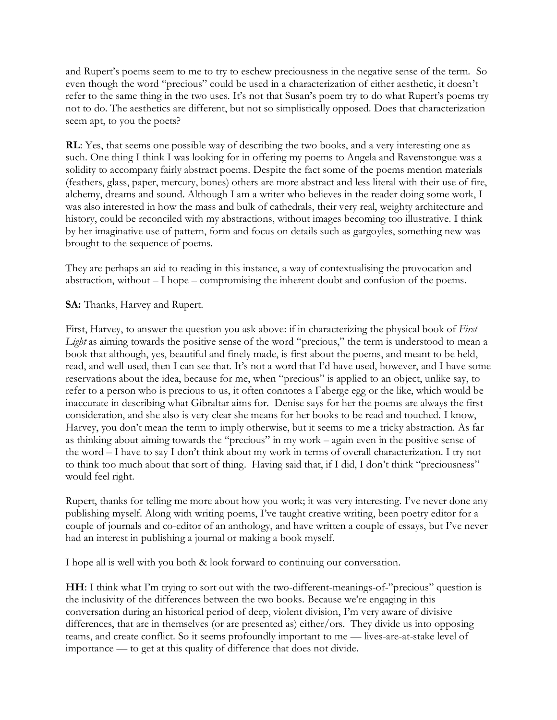and Rupert's poems seem to me to try to eschew preciousness in the negative sense of the term. So even though the word "precious" could be used in a characterization of either aesthetic, it doesn't refer to the same thing in the two uses. It's not that Susan's poem try to do what Rupert's poems try not to do. The aesthetics are different, but not so simplistically opposed. Does that characterization seem apt, to you the poets?

**RL**: Yes, that seems one possible way of describing the two books, and a very interesting one as such. One thing I think I was looking for in offering my poems to Angela and Ravenstongue was a solidity to accompany fairly abstract poems. Despite the fact some of the poems mention materials (feathers, glass, paper, mercury, bones) others are more abstract and less literal with their use of fire, alchemy, dreams and sound. Although I am a writer who believes in the reader doing some work, I was also interested in how the mass and bulk of cathedrals, their very real, weighty architecture and history, could be reconciled with my abstractions, without images becoming too illustrative. I think by her imaginative use of pattern, form and focus on details such as gargoyles, something new was brought to the sequence of poems.

They are perhaps an aid to reading in this instance, a way of contextualising the provocation and abstraction, without – I hope – compromising the inherent doubt and confusion of the poems.

**SA:** Thanks, Harvey and Rupert.

First, Harvey, to answer the question you ask above: if in characterizing the physical book of *First Light* as aiming towards the positive sense of the word "precious," the term is understood to mean a book that although, yes, beautiful and finely made, is first about the poems, and meant to be held, read, and well-used, then I can see that. It's not a word that I'd have used, however, and I have some reservations about the idea, because for me, when "precious" is applied to an object, unlike say, to refer to a person who is precious to us, it often connotes a Faberge egg or the like, which would be inaccurate in describing what Gibraltar aims for. Denise says for her the poems are always the first consideration, and she also is very clear she means for her books to be read and touched. I know, Harvey, you don't mean the term to imply otherwise, but it seems to me a tricky abstraction. As far as thinking about aiming towards the "precious" in my work – again even in the positive sense of the word – I have to say I don't think about my work in terms of overall characterization. I try not to think too much about that sort of thing. Having said that, if I did, I don't think "preciousness" would feel right.

Rupert, thanks for telling me more about how you work; it was very interesting. I've never done any publishing myself. Along with writing poems, I've taught creative writing, been poetry editor for a couple of journals and co-editor of an anthology, and have written a couple of essays, but I've never had an interest in publishing a journal or making a book myself.

I hope all is well with you both & look forward to continuing our conversation.

**HH**: I think what I'm trying to sort out with the two-different-meanings-of-"precious" question is the inclusivity of the differences between the two books. Because we're engaging in this conversation during an historical period of deep, violent division, I'm very aware of divisive differences, that are in themselves (or are presented as) either/ors. They divide us into opposing teams, and create conflict. So it seems profoundly important to me — lives-are-at-stake level of importance — to get at this quality of difference that does not divide.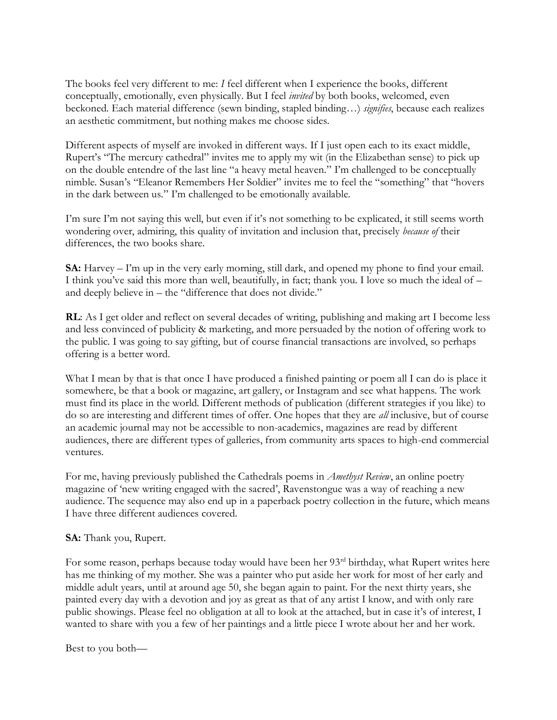The books feel very different to me: *I* feel different when I experience the books, different conceptually, emotionally, even physically. But I feel *invited* by both books, welcomed, even beckoned. Each material difference (sewn binding, stapled binding…) *signifies*, because each realizes an aesthetic commitment, but nothing makes me choose sides.

Different aspects of myself are invoked in different ways. If I just open each to its exact middle, Rupert's "The mercury cathedral" invites me to apply my wit (in the Elizabethan sense) to pick up on the double entendre of the last line "a heavy metal heaven." I'm challenged to be conceptually nimble. Susan's "Eleanor Remembers Her Soldier" invites me to feel the "something" that "hovers in the dark between us." I'm challenged to be emotionally available.

I'm sure I'm not saying this well, but even if it's not something to be explicated, it still seems worth wondering over, admiring, this quality of invitation and inclusion that, precisely *because of* their differences, the two books share.

**SA:** Harvey – I'm up in the very early morning, still dark, and opened my phone to find your email. I think you've said this more than well, beautifully, in fact; thank you. I love so much the ideal of – and deeply believe in – the "difference that does not divide."

**RL**: As I get older and reflect on several decades of writing, publishing and making art I become less and less convinced of publicity & marketing, and more persuaded by the notion of offering work to the public. I was going to say gifting, but of course financial transactions are involved, so perhaps offering is a better word.

What I mean by that is that once I have produced a finished painting or poem all I can do is place it somewhere, be that a book or magazine, art gallery, or Instagram and see what happens. The work must find its place in the world. Different methods of publication (different strategies if you like) to do so are interesting and different times of offer. One hopes that they are *all* inclusive, but of course an academic journal may not be accessible to non-academics, magazines are read by different audiences, there are different types of galleries, from community arts spaces to high-end commercial ventures.

For me, having previously published the Cathedrals poems in *Amethyst Review*, an online poetry magazine of 'new writing engaged with the sacred', Ravenstongue was a way of reaching a new audience. The sequence may also end up in a paperback poetry collection in the future, which means I have three different audiences covered.

## **SA:** Thank you, Rupert.

For some reason, perhaps because today would have been her 93<sup>rd</sup> birthday, what Rupert writes here has me thinking of my mother. She was a painter who put aside her work for most of her early and middle adult years, until at around age 50, she began again to paint. For the next thirty years, she painted every day with a devotion and joy as great as that of any artist I know, and with only rare public showings. Please feel no obligation at all to look at the attached, but in case it's of interest, I wanted to share with you a few of her paintings and a little piece I wrote about her and her work.

Best to you both—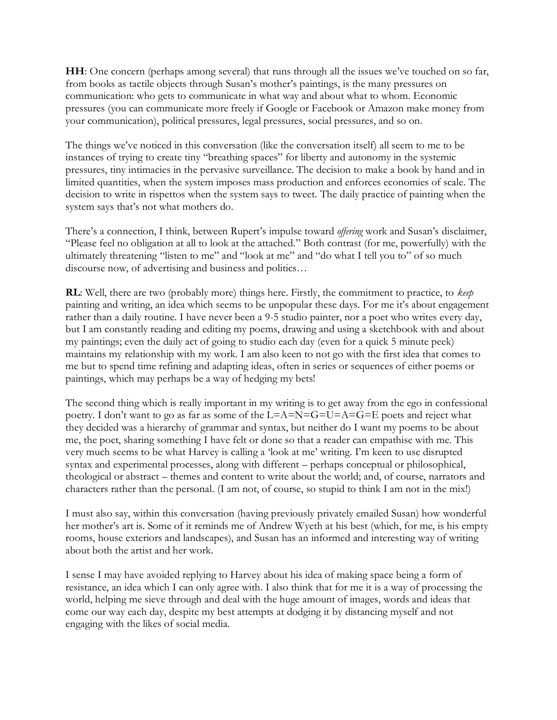**HH**: One concern (perhaps among several) that runs through all the issues we've touched on so far, from books as tactile objects through Susan's mother's paintings, is the many pressures on communication: who gets to communicate in what way and about what to whom. Economic pressures (you can communicate more freely if Google or Facebook or Amazon make money from your communication), political pressures, legal pressures, social pressures, and so on.

The things we've noticed in this conversation (like the conversation itself) all seem to me to be instances of trying to create tiny "breathing spaces" for liberty and autonomy in the systemic pressures, tiny intimacies in the pervasive surveillance. The decision to make a book by hand and in limited quantities, when the system imposes mass production and enforces economies of scale. The decision to write in rispettos when the system says to tweet. The daily practice of painting when the system says that's not what mothers do.

There's a connection, I think, between Rupert's impulse toward *offering* work and Susan's disclaimer, "Please feel no obligation at all to look at the attached." Both contrast (for me, powerfully) with the ultimately threatening "listen to me" and "look at me" and "do what I tell you to" of so much discourse now, of advertising and business and politics…

**RL**: Well, there are two (probably more) things here. Firstly, the commitment to practice, to *keep* painting and writing, an idea which seems to be unpopular these days. For me it's about engagement rather than a daily routine. I have never been a 9-5 studio painter, nor a poet who writes every day, but I am constantly reading and editing my poems, drawing and using a sketchbook with and about my paintings; even the daily act of going to studio each day (even for a quick 5 minute peek) maintains my relationship with my work. I am also keen to not go with the first idea that comes to me but to spend time refining and adapting ideas, often in series or sequences of either poems or paintings, which may perhaps be a way of hedging my bets!

The second thing which is really important in my writing is to get away from the ego in confessional poetry. I don't want to go as far as some of the L=A=N=G=U=A=G=E poets and reject what they decided was a hierarchy of grammar and syntax, but neither do I want my poems to be about me, the poet, sharing something I have felt or done so that a reader can empathise with me. This very much seems to be what Harvey is calling a 'look at me' writing. I'm keen to use disrupted syntax and experimental processes, along with different – perhaps conceptual or philosophical, theological or abstract – themes and content to write about the world; and, of course, narrators and characters rather than the personal. (I am not, of course, so stupid to think I am not in the mix!)

I must also say, within this conversation (having previously privately emailed Susan) how wonderful her mother's art is. Some of it reminds me of Andrew Wyeth at his best (which, for me, is his empty rooms, house exteriors and landscapes), and Susan has an informed and interesting way of writing about both the artist and her work.

I sense I may have avoided replying to Harvey about his idea of making space being a form of resistance, an idea which I can only agree with. I also think that for me it is a way of processing the world, helping me sieve through and deal with the huge amount of images, words and ideas that come our way each day, despite my best attempts at dodging it by distancing myself and not engaging with the likes of social media.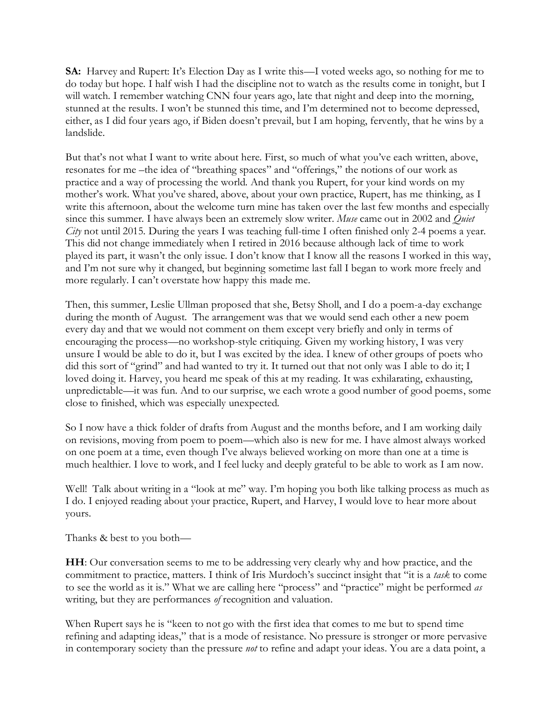**SA:** Harvey and Rupert: It's Election Day as I write this—I voted weeks ago, so nothing for me to do today but hope. I half wish I had the discipline not to watch as the results come in tonight, but I will watch. I remember watching CNN four years ago, late that night and deep into the morning, stunned at the results. I won't be stunned this time, and I'm determined not to become depressed, either, as I did four years ago, if Biden doesn't prevail, but I am hoping, fervently, that he wins by a landslide.

But that's not what I want to write about here. First, so much of what you've each written, above, resonates for me –the idea of "breathing spaces" and "offerings," the notions of our work as practice and a way of processing the world. And thank you Rupert, for your kind words on my mother's work. What you've shared, above, about your own practice, Rupert, has me thinking, as I write this afternoon, about the welcome turn mine has taken over the last few months and especially since this summer. I have always been an extremely slow writer. *Muse* came out in 2002 and *Quiet City* not until 2015. During the years I was teaching full-time I often finished only 2-4 poems a year. This did not change immediately when I retired in 2016 because although lack of time to work played its part, it wasn't the only issue. I don't know that I know all the reasons I worked in this way, and I'm not sure why it changed, but beginning sometime last fall I began to work more freely and more regularly. I can't overstate how happy this made me.

Then, this summer, Leslie Ullman proposed that she, Betsy Sholl, and I do a poem-a-day exchange during the month of August. The arrangement was that we would send each other a new poem every day and that we would not comment on them except very briefly and only in terms of encouraging the process—no workshop-style critiquing. Given my working history, I was very unsure I would be able to do it, but I was excited by the idea. I knew of other groups of poets who did this sort of "grind" and had wanted to try it. It turned out that not only was I able to do it; I loved doing it. Harvey, you heard me speak of this at my reading. It was exhilarating, exhausting, unpredictable—it was fun. And to our surprise, we each wrote a good number of good poems, some close to finished, which was especially unexpected.

So I now have a thick folder of drafts from August and the months before, and I am working daily on revisions, moving from poem to poem—which also is new for me. I have almost always worked on one poem at a time, even though I've always believed working on more than one at a time is much healthier. I love to work, and I feel lucky and deeply grateful to be able to work as I am now.

Well! Talk about writing in a "look at me" way. I'm hoping you both like talking process as much as I do. I enjoyed reading about your practice, Rupert, and Harvey, I would love to hear more about yours.

Thanks & best to you both—

**HH**: Our conversation seems to me to be addressing very clearly why and how practice, and the commitment to practice, matters. I think of Iris Murdoch's succinct insight that "it is a *task* to come to see the world as it is." What we are calling here "process" and "practice" might be performed *as* writing, but they are performances *of* recognition and valuation.

When Rupert says he is "keen to not go with the first idea that comes to me but to spend time refining and adapting ideas," that is a mode of resistance. No pressure is stronger or more pervasive in contemporary society than the pressure *not* to refine and adapt your ideas. You are a data point, a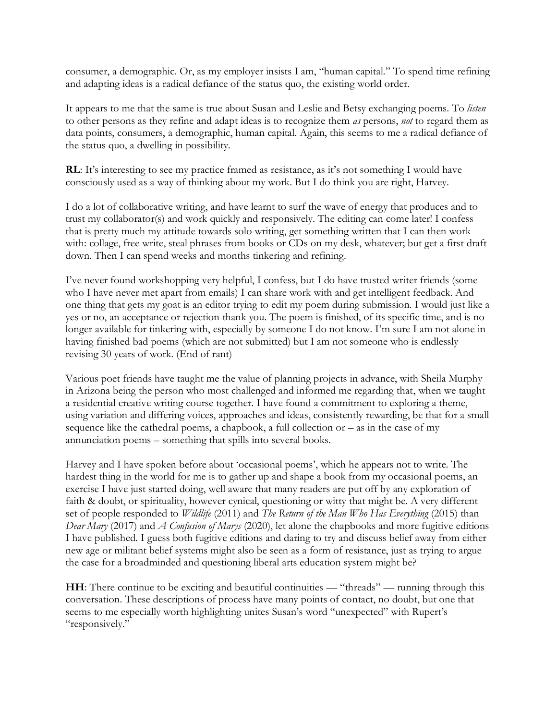consumer, a demographic. Or, as my employer insists I am, "human capital." To spend time refining and adapting ideas is a radical defiance of the status quo, the existing world order.

It appears to me that the same is true about Susan and Leslie and Betsy exchanging poems. To *listen* to other persons as they refine and adapt ideas is to recognize them *as* persons, *not* to regard them as data points, consumers, a demographic, human capital. Again, this seems to me a radical defiance of the status quo, a dwelling in possibility.

**RL**: It's interesting to see my practice framed as resistance, as it's not something I would have consciously used as a way of thinking about my work. But I do think you are right, Harvey.

I do a lot of collaborative writing, and have learnt to surf the wave of energy that produces and to trust my collaborator(s) and work quickly and responsively. The editing can come later! I confess that is pretty much my attitude towards solo writing, get something written that I can then work with: collage, free write, steal phrases from books or CDs on my desk, whatever; but get a first draft down. Then I can spend weeks and months tinkering and refining.

I've never found workshopping very helpful, I confess, but I do have trusted writer friends (some who I have never met apart from emails) I can share work with and get intelligent feedback. And one thing that gets my goat is an editor trying to edit my poem during submission. I would just like a yes or no, an acceptance or rejection thank you. The poem is finished, of its specific time, and is no longer available for tinkering with, especially by someone I do not know. I'm sure I am not alone in having finished bad poems (which are not submitted) but I am not someone who is endlessly revising 30 years of work. (End of rant)

Various poet friends have taught me the value of planning projects in advance, with Sheila Murphy in Arizona being the person who most challenged and informed me regarding that, when we taught a residential creative writing course together. I have found a commitment to exploring a theme, using variation and differing voices, approaches and ideas, consistently rewarding, be that for a small sequence like the cathedral poems, a chapbook, a full collection or  $-$  as in the case of my annunciation poems – something that spills into several books.

Harvey and I have spoken before about 'occasional poems', which he appears not to write. The hardest thing in the world for me is to gather up and shape a book from my occasional poems, an exercise I have just started doing, well aware that many readers are put off by any exploration of faith & doubt, or spirituality, however cynical, questioning or witty that might be. A very different set of people responded to *Wildlife* (2011) and *The Return of the Man Who Has Everything* (2015) than *Dear Mary* (2017) and *A Confusion of Marys* (2020), let alone the chapbooks and more fugitive editions I have published. I guess both fugitive editions and daring to try and discuss belief away from either new age or militant belief systems might also be seen as a form of resistance, just as trying to argue the case for a broadminded and questioning liberal arts education system might be?

**HH**: There continue to be exciting and beautiful continuities — "threads" — running through this conversation. These descriptions of process have many points of contact, no doubt, but one that seems to me especially worth highlighting unites Susan's word "unexpected" with Rupert's "responsively."